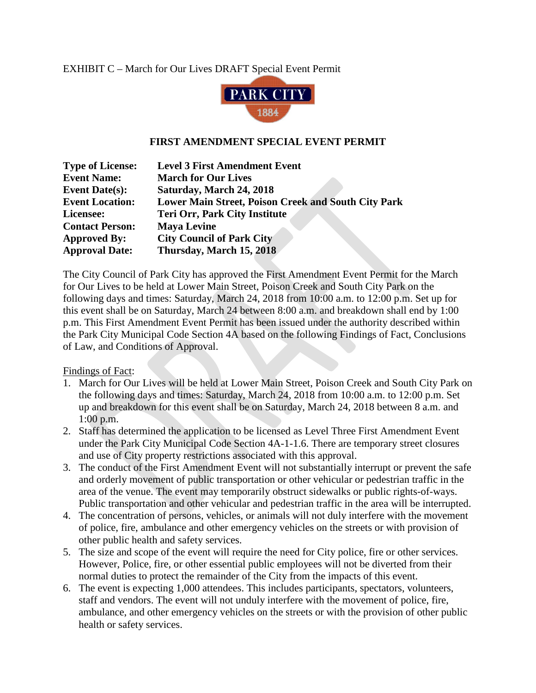## EXHIBIT C – March for Our Lives DRAFT Special Event Permit



## **FIRST AMENDMENT SPECIAL EVENT PERMIT**

| <b>Type of License:</b> | <b>Level 3 First Amendment Event</b>                       |
|-------------------------|------------------------------------------------------------|
| <b>Event Name:</b>      | <b>March for Our Lives</b>                                 |
| Event Date( $s$ ):      | Saturday, March 24, 2018                                   |
| <b>Event Location:</b>  | <b>Lower Main Street, Poison Creek and South City Park</b> |
| Licensee:               | <b>Teri Orr, Park City Institute</b>                       |
| <b>Contact Person:</b>  | <b>Maya Levine</b>                                         |
| <b>Approved By:</b>     | <b>City Council of Park City</b>                           |
| <b>Approval Date:</b>   | Thursday, March 15, 2018                                   |

The City Council of Park City has approved the First Amendment Event Permit for the March for Our Lives to be held at Lower Main Street, Poison Creek and South City Park on the following days and times: Saturday, March 24, 2018 from 10:00 a.m. to 12:00 p.m. Set up for this event shall be on Saturday, March 24 between 8:00 a.m. and breakdown shall end by 1:00 p.m. This First Amendment Event Permit has been issued under the authority described within the Park City Municipal Code Section 4A based on the following Findings of Fact, Conclusions of Law, and Conditions of Approval.

Findings of Fact:

- 1. March for Our Lives will be held at Lower Main Street, Poison Creek and South City Park on the following days and times: Saturday, March 24, 2018 from 10:00 a.m. to 12:00 p.m. Set up and breakdown for this event shall be on Saturday, March 24, 2018 between 8 a.m. and 1:00 p.m.
- 2. Staff has determined the application to be licensed as Level Three First Amendment Event under the Park City Municipal Code Section 4A-1-1.6. There are temporary street closures and use of City property restrictions associated with this approval.
- 3. The conduct of the First Amendment Event will not substantially interrupt or prevent the safe and orderly movement of public transportation or other vehicular or pedestrian traffic in the area of the venue. The event may temporarily obstruct sidewalks or public rights-of-ways. Public transportation and other vehicular and pedestrian traffic in the area will be interrupted.
- 4. The concentration of persons, vehicles, or animals will not duly interfere with the movement of police, fire, ambulance and other emergency vehicles on the streets or with provision of other public health and safety services.
- 5. The size and scope of the event will require the need for City police, fire or other services. However, Police, fire, or other essential public employees will not be diverted from their normal duties to protect the remainder of the City from the impacts of this event.
- 6. The event is expecting 1,000 attendees. This includes participants, spectators, volunteers, staff and vendors. The event will not unduly interfere with the movement of police, fire, ambulance, and other emergency vehicles on the streets or with the provision of other public health or safety services.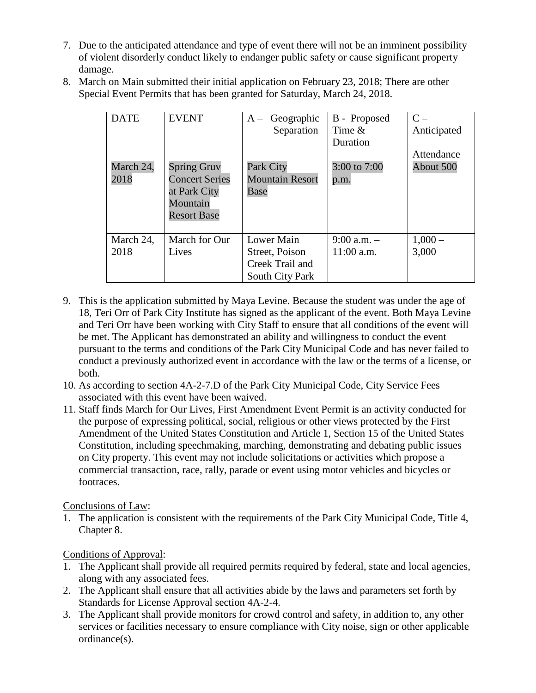- 7. Due to the anticipated attendance and type of event there will not be an imminent possibility of violent disorderly conduct likely to endanger public safety or cause significant property damage.
- 8. March on Main submitted their initial application on February 23, 2018; There are other Special Event Permits that has been granted for Saturday, March 24, 2018.

| <b>DATE</b>       | <b>EVENT</b>                                                                                  | $A - Geographic$<br>Separation                                     | B - Proposed<br>Time $\&$<br>Duration | $C -$<br>Anticipated<br>Attendance |
|-------------------|-----------------------------------------------------------------------------------------------|--------------------------------------------------------------------|---------------------------------------|------------------------------------|
| March 24,<br>2018 | <b>Spring Gruv</b><br><b>Concert Series</b><br>at Park City<br>Mountain<br><b>Resort Base</b> | Park City<br><b>Mountain Resort</b><br>Base                        | 3:00 to 7:00<br>p.m.                  | About 500                          |
| March 24,<br>2018 | March for Our<br>Lives                                                                        | Lower Main<br>Street, Poison<br>Creek Trail and<br>South City Park | $9:00$ a.m. $-$<br>$11:00$ a.m.       | $1,000-$<br>3,000                  |

- 9. This is the application submitted by Maya Levine. Because the student was under the age of 18, Teri Orr of Park City Institute has signed as the applicant of the event. Both Maya Levine and Teri Orr have been working with City Staff to ensure that all conditions of the event will be met. The Applicant has demonstrated an ability and willingness to conduct the event pursuant to the terms and conditions of the Park City Municipal Code and has never failed to conduct a previously authorized event in accordance with the law or the terms of a license, or both.
- 10. As according to section 4A-2-7.D of the Park City Municipal Code, City Service Fees associated with this event have been waived.
- 11. Staff finds March for Our Lives, First Amendment Event Permit is an activity conducted for the purpose of expressing political, social, religious or other views protected by the First Amendment of the United States Constitution and Article 1, Section 15 of the United States Constitution, including speechmaking, marching, demonstrating and debating public issues on City property. This event may not include solicitations or activities which propose a commercial transaction, race, rally, parade or event using motor vehicles and bicycles or footraces.

Conclusions of Law:

1. The application is consistent with the requirements of the Park City Municipal Code, Title 4, Chapter 8.

Conditions of Approval:

- 1. The Applicant shall provide all required permits required by federal, state and local agencies, along with any associated fees.
- 2. The Applicant shall ensure that all activities abide by the laws and parameters set forth by Standards for License Approval section 4A-2-4.
- 3. The Applicant shall provide monitors for crowd control and safety, in addition to, any other services or facilities necessary to ensure compliance with City noise, sign or other applicable ordinance(s).